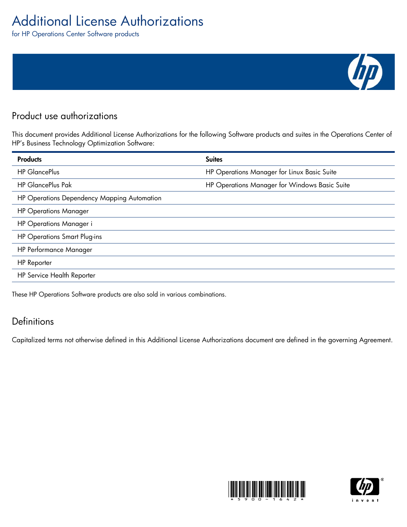# Additional License Authorizations

for HP Operations Center Software products

## Product use authorizations

This document provides Additional License Authorizations for the following Software products and suites in the Operations Center of HP's Business Technology Optimization Software:

| <b>Products</b>                             | <b>Suites</b>                                 |
|---------------------------------------------|-----------------------------------------------|
| <b>HP GlancePlus</b>                        | HP Operations Manager for Linux Basic Suite   |
| <b>HP GlancePlus Pak</b>                    | HP Operations Manager for Windows Basic Suite |
| HP Operations Dependency Mapping Automation |                                               |
| <b>HP Operations Manager</b>                |                                               |
| <b>HP Operations Manager i</b>              |                                               |
| <b>HP Operations Smart Plug-ins</b>         |                                               |
| <b>HP Performance Manager</b>               |                                               |
| <b>HP</b> Reporter                          |                                               |
| HP Service Health Reporter                  |                                               |
|                                             |                                               |

These HP Operations Software products are also sold in various combinations.

### **Definitions**

Capitalized terms not otherwise defined in this Additional License Authorizations document are defined in the governing Agreement.





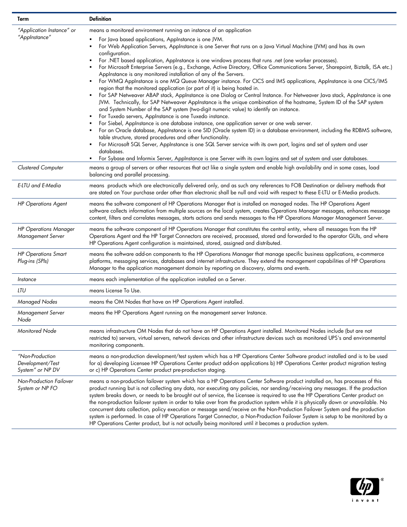| Term                                                    | <b>Definition</b>                                                                                                                                                                                                                                                                                                                                                                                                                                                                                                                                                                                                                                                                                                                                                                                                                                                                                                                                                                                                                                                                                                                                                                                                                                                                                                                                                                                                                                                                                                                                                                                                                                                                                                                                        |
|---------------------------------------------------------|----------------------------------------------------------------------------------------------------------------------------------------------------------------------------------------------------------------------------------------------------------------------------------------------------------------------------------------------------------------------------------------------------------------------------------------------------------------------------------------------------------------------------------------------------------------------------------------------------------------------------------------------------------------------------------------------------------------------------------------------------------------------------------------------------------------------------------------------------------------------------------------------------------------------------------------------------------------------------------------------------------------------------------------------------------------------------------------------------------------------------------------------------------------------------------------------------------------------------------------------------------------------------------------------------------------------------------------------------------------------------------------------------------------------------------------------------------------------------------------------------------------------------------------------------------------------------------------------------------------------------------------------------------------------------------------------------------------------------------------------------------|
| "Application Instance" or<br>"AppInstance"              | means a monitored environment running an instance of an application<br>For Java based applications, Applnstance is one JVM.<br>For Web Application Servers, Applnstance is one Server that runs on a Java Virtual Machine (JVM) and has its own<br>configuration.<br>For .NET based application, Applnstance is one windows process that runs .net (one worker processes).<br>For Microsoft Enterprise Servers (e.g., Exchange, Active Directory, Office Communications Server, Sharepoint, Biztalk, ISA etc.)<br>Applnstance is any monitored installation of any of the Servers.<br>For WMQ Applnstance is one MQ Queue Manager instance. For CICS and IMS applications, Applnstance is one CICS/IMS<br>region that the monitored application (or part of it) is being hosted in.<br>For SAP Netweaver ABAP stack, Applnstance is one Dialog or Central Instance. For Netweaver Java stack, Applnstance is one<br>JVM. Technically, for SAP Netweaver Applnstance is the unique combination of the hostname, System ID of the SAP system<br>and System Number of the SAP system (two-digit numeric value) to identify an instance.<br>For Tuxedo servers, Applnstance is one Tuxedo instance.<br>For Siebel, Applnstance is one database instance, one application server or one web server.<br>For an Oracle database, AppInstance is one SID (Oracle system ID) in a database environment, including the RDBMS software,<br>table structure, stored procedures and other functionality.<br>For Microsoft SQL Server, Applnstance is one SQL Server service with its own port, logins and set of system and user<br>databases.<br>For Sybase and Informix Server, AppInstance is one Server with its own logins and set of system and user databases. |
| Clustered Computer                                      | means a group of servers or other resources that act like a single system and enable high availability and in some cases, load<br>balancing and parallel processing.                                                                                                                                                                                                                                                                                                                                                                                                                                                                                                                                                                                                                                                                                                                                                                                                                                                                                                                                                                                                                                                                                                                                                                                                                                                                                                                                                                                                                                                                                                                                                                                     |
| E-LTU and E-Media                                       | means products which are electronically delivered only, and as such any references to FOB Destination or delivery methods that<br>are stated on Your purchase order other than electronic shall be null and void with respect to these E-LTU or E-Media products.                                                                                                                                                                                                                                                                                                                                                                                                                                                                                                                                                                                                                                                                                                                                                                                                                                                                                                                                                                                                                                                                                                                                                                                                                                                                                                                                                                                                                                                                                        |
| <b>HP Operations Agent</b>                              | means the software component of HP Operations Manager that is installed on managed nodes. The HP Operations Agent<br>software collects information from multiple sources on the local system, creates Operations Manager messages, enhances message<br>content, filters and correlates messages, starts actions and sends messages to the HP Operations Manager Management Server.                                                                                                                                                                                                                                                                                                                                                                                                                                                                                                                                                                                                                                                                                                                                                                                                                                                                                                                                                                                                                                                                                                                                                                                                                                                                                                                                                                       |
| <b>HP Operations Manager</b><br>Management Server       | means the software component of HP Operations Manager that constitutes the central entity, where all messages from the HP<br>Operations Agent and the HP Target Connectors are received, processed, stored and forwarded to the operator GUIs, and where<br>HP Operations Agent configuration is maintained, stored, assigned and distributed.                                                                                                                                                                                                                                                                                                                                                                                                                                                                                                                                                                                                                                                                                                                                                                                                                                                                                                                                                                                                                                                                                                                                                                                                                                                                                                                                                                                                           |
| <b>HP Operations Smart</b><br>Plug-ins (SPIs)           | means the software add-on components to the HP Operations Manager that manage specific business applications, e-commerce<br>platforms, messaging services, databases and internet infrastructure. They extend the management capabilities of HP Operations<br>Manager to the application management domain by reporting on discovery, alarms and events.                                                                                                                                                                                                                                                                                                                                                                                                                                                                                                                                                                                                                                                                                                                                                                                                                                                                                                                                                                                                                                                                                                                                                                                                                                                                                                                                                                                                 |
| Instance                                                | means each implementation of the application installed on a Server.                                                                                                                                                                                                                                                                                                                                                                                                                                                                                                                                                                                                                                                                                                                                                                                                                                                                                                                                                                                                                                                                                                                                                                                                                                                                                                                                                                                                                                                                                                                                                                                                                                                                                      |
| LTU                                                     | means License To Use.                                                                                                                                                                                                                                                                                                                                                                                                                                                                                                                                                                                                                                                                                                                                                                                                                                                                                                                                                                                                                                                                                                                                                                                                                                                                                                                                                                                                                                                                                                                                                                                                                                                                                                                                    |
| Managed Nodes                                           | means the OM Nodes that have an HP Operations Agent installed.                                                                                                                                                                                                                                                                                                                                                                                                                                                                                                                                                                                                                                                                                                                                                                                                                                                                                                                                                                                                                                                                                                                                                                                                                                                                                                                                                                                                                                                                                                                                                                                                                                                                                           |
| Management Server<br>Node                               | means the HP Operations Agent running on the management server Instance.                                                                                                                                                                                                                                                                                                                                                                                                                                                                                                                                                                                                                                                                                                                                                                                                                                                                                                                                                                                                                                                                                                                                                                                                                                                                                                                                                                                                                                                                                                                                                                                                                                                                                 |
| Monitored Node                                          | means infrastructure OM Nodes that do not have an HP Operations Agent installed. Monitored Nodes include (but are not<br>restricted to) servers, virtual servers, network devices and other infrastructure devices such as monitored UPS's and environmental<br>monitoring components.                                                                                                                                                                                                                                                                                                                                                                                                                                                                                                                                                                                                                                                                                                                                                                                                                                                                                                                                                                                                                                                                                                                                                                                                                                                                                                                                                                                                                                                                   |
| "Non-Production<br>Development/Test<br>System" or NP DV | means a non-production development/test system which has a HP Operations Center Software product installed and is to be used<br>for a) developing Licensee HP Operations Center product add-on applications b) HP Operations Center product migration testing<br>or c) HP Operations Center product pre-production staging.                                                                                                                                                                                                                                                                                                                                                                                                                                                                                                                                                                                                                                                                                                                                                                                                                                                                                                                                                                                                                                                                                                                                                                                                                                                                                                                                                                                                                              |
| Non-Production Failover<br>System or NP FO              | means a non-production failover system which has a HP Operations Center Software product installed on, has processes of this<br>product running but is not collecting any data, nor executing any policies, nor sending/receiving any messages. If the production<br>system breaks down, or needs to be brought out of service, the Licensee is required to use the HP Operations Center product on<br>the non-production failover system in order to take over from the production system while it is physically down or unavailable. No<br>concurrent data collection, policy execution or message send/receive on the Non-Production Failover System and the production<br>system is performed. In case of HP Operations Target Connector, a Non-Production Failover System is setup to be monitored by a<br>HP Operations Center product, but is not actually being monitored until it becomes a production system.                                                                                                                                                                                                                                                                                                                                                                                                                                                                                                                                                                                                                                                                                                                                                                                                                                  |

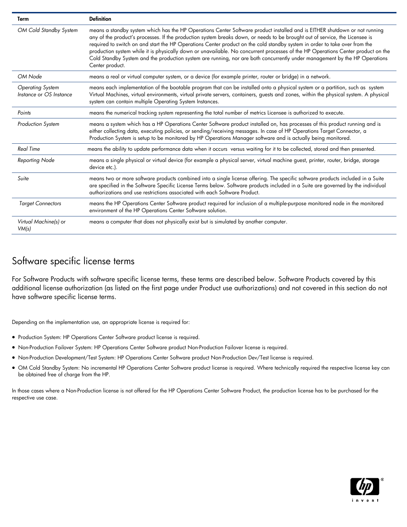| Term                                               | <b>Definition</b>                                                                                                                                                                                                                                                                                                                                                                                                                                                                                                                                                                                                                                                             |
|----------------------------------------------------|-------------------------------------------------------------------------------------------------------------------------------------------------------------------------------------------------------------------------------------------------------------------------------------------------------------------------------------------------------------------------------------------------------------------------------------------------------------------------------------------------------------------------------------------------------------------------------------------------------------------------------------------------------------------------------|
| OM Cold Standby System                             | means a standby system which has the HP Operations Center Software product installed and is EITHER shutdown or not running<br>any of the product's processes. If the production system breaks down, or needs to be brought out of service, the Licensee is<br>required to switch on and start the HP Operations Center product on the cold standby system in order to take over from the<br>production system while it is physically down or unavailable. No concurrent processes of the HP Operations Center product on the<br>Cold Standby System and the production system are running, nor are both concurrently under management by the HP Operations<br>Center product. |
| OM Node                                            | means a real or virtual computer system, or a device (for example printer, router or bridge) in a network.                                                                                                                                                                                                                                                                                                                                                                                                                                                                                                                                                                    |
| <b>Operating System</b><br>Instance or OS Instance | means each implementation of the bootable program that can be installed onto a physical system or a partition, such as system<br>Virtual Machines, virtual environments, virtual private servers, containers, guests and zones, within the physical system. A physical<br>system can contain multiple Operating System Instances.                                                                                                                                                                                                                                                                                                                                             |
| Points                                             | means the numerical tracking system representing the total number of metrics Licensee is authorized to execute.                                                                                                                                                                                                                                                                                                                                                                                                                                                                                                                                                               |
| <b>Production System</b>                           | means a system which has a HP Operations Center Software product installed on, has processes of this product running and is<br>either collecting data, executing policies, or sending/receiving messages. In case of HP Operations Target Connector, a<br>Production System is setup to be monitored by HP Operations Manager software and is actually being monitored.                                                                                                                                                                                                                                                                                                       |
| <b>Real Time</b>                                   | means the ability to update performance data when it occurs versus waiting for it to be collected, stored and then presented.                                                                                                                                                                                                                                                                                                                                                                                                                                                                                                                                                 |
| Reporting Node                                     | means a single physical or virtual device (for example a physical server, virtual machine guest, printer, router, bridge, storage<br>device etc.).                                                                                                                                                                                                                                                                                                                                                                                                                                                                                                                            |
| Suite                                              | means two or more software products combined into a single license offering. The specific software products included in a Suite<br>are specified in the Software Specific License Terms below. Software products included in a Suite are governed by the individual<br>authorizations and use restrictions associated with each Software Product.                                                                                                                                                                                                                                                                                                                             |
| <b>Target Connectors</b>                           | means the HP Operations Center Software product required for inclusion of a multiple-purpose monitored node in the monitored<br>environment of the HP Operations Center Software solution.                                                                                                                                                                                                                                                                                                                                                                                                                                                                                    |
| Virtual Machine(s) or<br>VM(s)                     | means a computer that does not physically exist but is simulated by another computer.                                                                                                                                                                                                                                                                                                                                                                                                                                                                                                                                                                                         |

### Software specific license terms

For Software Products with software specific license terms, these terms are described below. Software Products covered by this additional license authorization (as listed on the first page under Product use authorizations) and not covered in this section do not have software specific license terms.

Depending on the implementation use, an appropriate license is required for:

- **•** Production System: HP Operations Center Software product license is required.
- Non-Production Failover System: HP Operations Center Software product Non-Production Failover license is required.
- Non-Production Development/Test System: HP Operations Center Software product Non-Production Dev/Test license is required.
- OM Cold Standby System: No incremental HP Operations Center Software product license is required. Where technically required the respective license key can be obtained free of charge from the HP.

In those cases where a Non-Production license is not offered for the HP Operations Center Software Product, the production license has to be purchased for the respective use case.

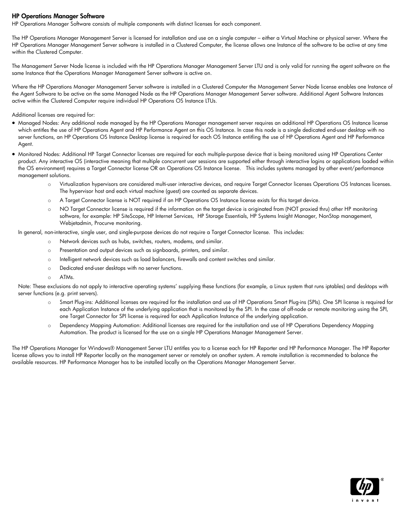#### HP Operations Manager Software

HP Operations Manager Software consists of multiple components with distinct licenses for each component.

The HP Operations Manager Management Server is licensed for installation and use on a single computer – either a Virtual Machine or physical server. Where the HP Operations Manager Management Server software is installed in a Clustered Computer, the license allows one Instance of the software to be active at any time within the Clustered Computer.

The Management Server Node license is included with the HP Operations Manager Management Server LTU and is only valid for running the agent software on the same Instance that the Operations Manager Management Server software is active on.

Where the HP Operations Manager Management Server software is installed in a Clustered Computer the Management Server Node license enables one Instance of the Agent Software to be active on the same Managed Node as the HP Operations Manager Management Server software. Additional Agent Software Instances active within the Clustered Computer require individual HP Operations OS Instance LTUs.

Additional licenses are required for:

- Managed Nodes: Any additional node managed by the HP Operations Manager management server requires an additional HP Operations OS Instance license which entitles the use of HP Operations Agent and HP Performance Agent on this OS Instance. In case this node is a single dedicated end-user desktop with no server functions, an HP Operations OS Instance Desktop license is required for each OS Instance entitling the use of HP Operations Agent and HP Performance Agent.
- Monitored Nodes: Additional HP Target Connector licenses are required for each multiple-purpose device that is being monitored using HP Operations Center product. Any interactive OS (interactive meaning that multiple concurrent user sessions are supported either through interactive logins or applications loaded within the OS environment) requires a Target Connector license OR an Operations OS Instance license. This includes systems managed by other event/performance management solutions.
	- o Virtualization hypervisors are considered multi-user interactive devices, and require Target Connector licenses Operations OS Instances licenses. The hypervisor host and each virtual machine (guest) are counted as separate devices.
	- o A Target Connector license is NOT required if an HP Operations OS Instance license exists for this target device.
	- o NO Target Connector license is required if the information on the target device is originated from (NOT proxied thru) other HP monitoring software, for example: HP SiteScope, HP Internet Services, HP Storage Essentials, HP Systems Insight Manager, NonStop management, Webjetadmin, Procurve monitoring.

In general, non-interactive, single user, and single-purpose devices do not require a Target Connector license. This includes:

- o Network devices such as hubs, switches, routers, modems, and similar.
- o Presentation and output devices such as signboards, printers, and similar.
- o Intelligent network devices such as load balancers, firewalls and content switches and similar.
- o Dedicated end-user desktops with no server functions.
- o ATMs.

Note: These exclusions do not apply to interactive operating systems' supplying these functions (for example, a Linux system that runs iptables) and desktops with server functions (e.g. print servers).

- Smart Plug-ins: Additional licenses are required for the installation and use of HP Operations Smart Plug-ins (SPIs). One SPI license is required for each Application Instance of the underlying application that is monitored by the SPI. In the case of off-node or remote monitoring using the SPI, one Target Connector for SPI license is required for each Application Instance of the underlying application.
- o Dependency Mapping Automation: Additional licenses are required for the installation and use of HP Operations Dependency Mapping Automation. The product is licensed for the use on a single HP Operations Manager Management Server.

The HP Operations Manager for Windows® Management Server LTU entitles you to a license each for HP Reporter and HP Performance Manager. The HP Reporter license allows you to install HP Reporter locally on the management server or remotely on another system. A remote installation is recommended to balance the available resources. HP Performance Manager has to be installed locally on the Operations Manager Management Server.

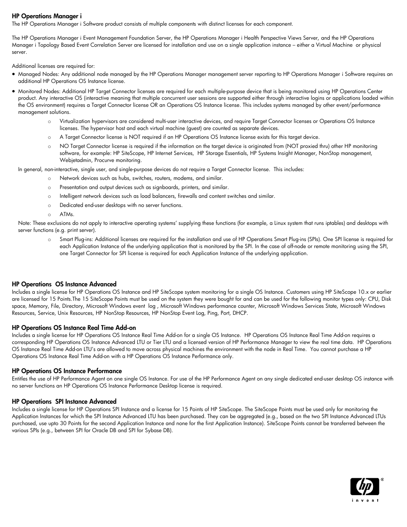#### HP Operations Manager i

The HP Operations Manager i Software product consists of multiple components with distinct licenses for each component.

The HP Operations Manager i Event Management Foundation Server, the HP Operations Manager i Health Perspective Views Server, and the HP Operations Manager i Topology Based Event Correlation Server are licensed for installation and use on a single application instance – either a Virtual Machine or physical server.

Additional licenses are required for:

- Managed Nodes: Any additional node managed by the HP Operations Manager management server reporting to HP Operations Manager i Software requires an additional HP Operations OS Instance license.
- Monitored Nodes: Additional HP Target Connector licenses are required for each multiple-purpose device that is being monitored using HP Operations Center product. Any interactive OS (interactive meaning that multiple concurrent user sessions are supported either through interactive logins or applications loaded within the OS environment) requires a Target Connector license OR an Operations OS Instance license. This includes systems managed by other event/performance management solutions.
	- o Virtualization hypervisors are considered multi-user interactive devices, and require Target Connector licenses or Operations OS Instance licenses. The hypervisor host and each virtual machine (guest) are counted as separate devices.
	- o A Target Connector license is NOT required if an HP Operations OS Instance license exists for this target device.
	- o NO Target Connector license is required if the information on the target device is originated from (NOT proxied thru) other HP monitoring software, for example: HP SiteScope, HP Internet Services, HP Storage Essentials, HP Systems Insight Manager, NonStop management, Webjetadmin, Procurve monitoring.

In general, non-interactive, single user, and single-purpose devices do not require a Target Connector license. This includes:

- o Network devices such as hubs, switches, routers, modems, and similar.
- o Presentation and output devices such as signboards, printers, and similar.
- o Intelligent network devices such as load balancers, firewalls and content switches and similar.
- o Dedicated end-user desktops with no server functions.
- o ATMs.

Note: These exclusions do not apply to interactive operating systems' supplying these functions (for example, a Linux system that runs iptables) and desktops with server functions (e.g. print server).

o Smart Plug-ins: Additional licenses are required for the installation and use of HP Operations Smart Plug-ins (SPIs). One SPI license is required for each Application Instance of the underlying application that is monitored by the SPI. In the case of off-node or remote monitoring using the SPI, one Target Connector for SPI license is required for each Application Instance of the underlying application.

#### HP Operations OS Instance Advanced

Includes a single license for HP Operations OS Instance and HP SiteScope system monitoring for a single OS Instance. Customers using HP SiteScope 10.x or earlier are licensed for 15 Points.The 15 SiteScope Points must be used on the system they were bought for and can be used for the following monitor types only: CPU, Disk space, Memory, File, Directory, Microsoft Windows event log , Microsoft Windows performance counter, Microsoft Windows Services State, Microsoft Windows Resources, Service, Unix Resources, HP NonStop Resources, HP NonStop Event Log, Ping, Port, DHCP.

#### HP Operations OS Instance Real Time Add-on

Includes a single license for HP Operations OS Instance Real Time Add-on for a single OS Instance. HP Operations OS Instance Real Time Add-on requires a corresponding HP Operations OS Instance Advanced LTU or Tier LTU and a licensed version of HP Performance Manager to view the real time data. HP Operations OS Instance Real Time Add-on LTU's are allowed to move across physical machines the environment with the node in Real Time. You cannot purchase a HP Operations OS Instance Real Time Add-on with a HP Operations OS Instance Performance only.

#### HP Operations OS Instance Performance

Entitles the use of HP Performance Agent on one single OS Instance. For use of the HP Performance Agent on any single dedicated end-user desktop OS instance with no server functions an HP Operations OS Instance Performance Desktop license is required.

#### HP Operations SPI Instance Advanced

Includes a single license for HP Operations SPI Instance and a license for 15 Points of HP SiteScope. The SiteScope Points must be used only for monitoring the Application Instances for which the SPI Instance Advanced LTU has been purchased. They can be aggregated (e.g., based on the two SPI Instance Advanced LTUs purchased, use upto 30 Points for the second Application Instance and none for the first Application Instance). SiteScope Points cannot be transferred between the various SPIs (e.g., between SPI for Oracle DB and SPI for Sybase DB).